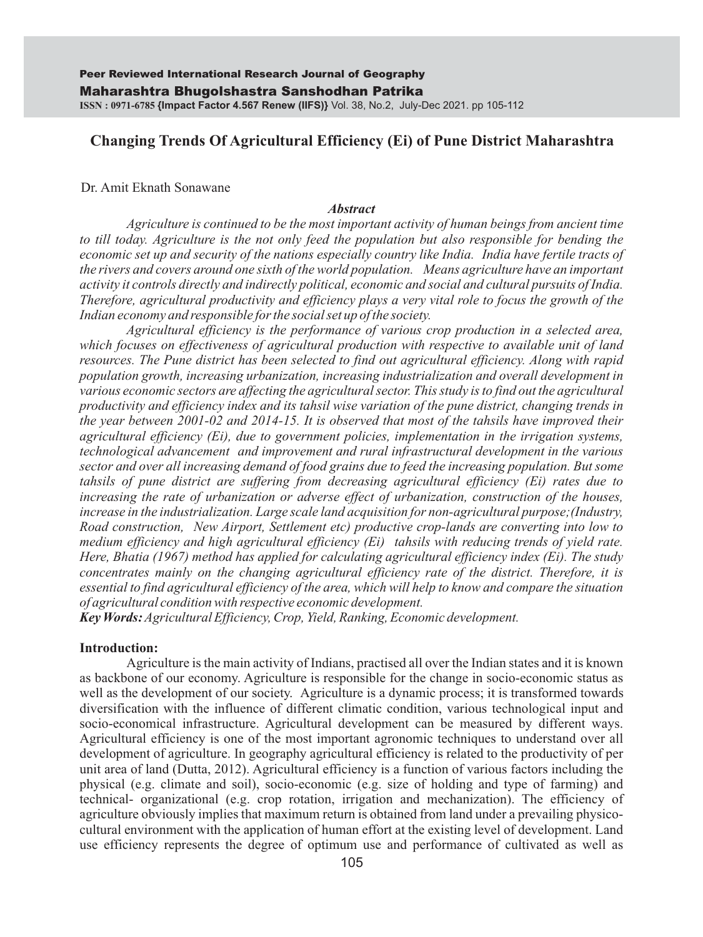# **Changing Trends Of Agricultural Efficiency (Ei) of Pune District Maharashtra**

### Dr. Amit Eknath Sonawane

### *Abstract*

*Agriculture is continued to be the most important activity of human beings from ancient time to till today. Agriculture is the not only feed the population but also responsible for bending the economic set up and security of the nations especially country like India. India have fertile tracts of the rivers and covers around one sixth of the world population. Means agriculture have an important activity it controls directly and indirectly political, economic and social and cultural pursuits of India. Therefore, agricultural productivity and efficiency plays a very vital role to focus the growth of the Indian economy and responsible for the social set up of the society.*

*Agricultural efficiency is the performance of various crop production in a selected area, which focuses on effectiveness of agricultural production with respective to available unit of land resources. The Pune district has been selected to find out agricultural efficiency. Along with rapid population growth, increasing urbanization, increasing industrialization and overall development in various economic sectors are affecting the agricultural sector. This study is to find out the agricultural productivity and efficiency index and its tahsil wise variation of the pune district, changing trends in the year between 2001-02 and 2014-15. It is observed that most of the tahsils have improved their agricultural efficiency (Ei), due to government policies, implementation in the irrigation systems, technological advancement and improvement and rural infrastructural development in the various sector and over all increasing demand of food grains due to feed the increasing population. But some tahsils of pune district are suffering from decreasing agricultural efficiency (Ei) rates due to increasing the rate of urbanization or adverse effect of urbanization, construction of the houses, increase in the industrialization. Large scale land acquisition for non-agricultural purpose;(Industry, Road construction, New Airport, Settlement etc) productive crop-lands are converting into low to medium efficiency and high agricultural efficiency (Ei) tahsils with reducing trends of yield rate. Here, Bhatia (1967) method has applied for calculating agricultural efficiency index (Ei). The study concentrates mainly on the changing agricultural efficiency rate of the district. Therefore, it is essential to find agricultural efficiency of the area, which will help to know and compare the situation of agricultural condition with respective economic development.* 

*Key Words:Agricultural Efficiency, Crop, Yield, Ranking, Economic development.*

### **Introduction:**

Agriculture is the main activity of Indians, practised all over the Indian states and it is known as backbone of our economy. Agriculture is responsible for the change in socio-economic status as well as the development of our society. Agriculture is a dynamic process; it is transformed towards diversification with the influence of different climatic condition, various technological input and socio-economical infrastructure. Agricultural development can be measured by different ways. Agricultural efficiency is one of the most important agronomic techniques to understand over all development of agriculture. In geography agricultural efficiency is related to the productivity of per unit area of land (Dutta, 2012). Agricultural efficiency is a function of various factors including the physical (e.g. climate and soil), socio-economic (e.g. size of holding and type of farming) and technical- organizational (e.g. crop rotation, irrigation and mechanization). The efficiency of agriculture obviously implies that maximum return is obtained from land under a prevailing physicocultural environment with the application of human effort at the existing level of development. Land use efficiency represents the degree of optimum use and performance of cultivated as well as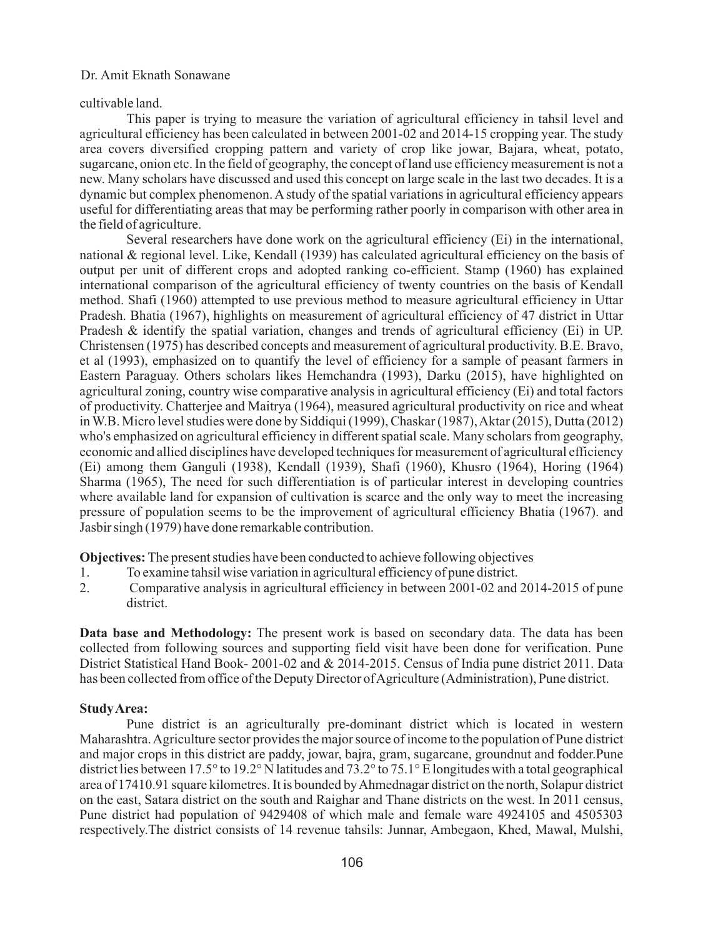### cultivable land.

This paper is trying to measure the variation of agricultural efficiency in tahsil level and agricultural efficiency has been calculated in between 2001-02 and 2014-15 cropping year. The study area covers diversified cropping pattern and variety of crop like jowar, Bajara, wheat, potato, sugarcane, onion etc. In the field of geography, the concept of land use efficiency measurement is not a new. Many scholars have discussed and used this concept on large scale in the last two decades. It is a dynamic but complex phenomenon. Astudy of the spatial variations in agricultural efficiency appears useful for differentiating areas that may be performing rather poorly in comparison with other area in the field of agriculture.

Several researchers have done work on the agricultural efficiency (Ei) in the international, national & regional level. Like, Kendall (1939) has calculated agricultural efficiency on the basis of output per unit of different crops and adopted ranking co-efficient. Stamp (1960) has explained international comparison of the agricultural efficiency of twenty countries on the basis of Kendall method. Shafi (1960) attempted to use previous method to measure agricultural efficiency in Uttar Pradesh. Bhatia (1967), highlights on measurement of agricultural efficiency of 47 district in Uttar Pradesh & identify the spatial variation, changes and trends of agricultural efficiency (Ei) in UP. Christensen (1975) has described concepts and measurement of agricultural productivity. B.E. Bravo, et al (1993), emphasized on to quantify the level of efficiency for a sample of peasant farmers in Eastern Paraguay. Others scholars likes Hemchandra (1993), Darku (2015), have highlighted on agricultural zoning, country wise comparative analysis in agricultural efficiency (Ei) and total factors of productivity. Chatterjee and Maitrya (1964), measured agricultural productivity on rice and wheat in W.B. Micro level studies were done by Siddiqui (1999), Chaskar (1987), Aktar (2015), Dutta (2012) who's emphasized on agricultural efficiency in different spatial scale. Many scholars from geography, economic and allied disciplines have developed techniques for measurement of agricultural efficiency (Ei) among them Ganguli (1938), Kendall (1939), Shafi (1960), Khusro (1964), Horing (1964) Sharma (1965), The need for such differentiation is of particular interest in developing countries where available land for expansion of cultivation is scarce and the only way to meet the increasing pressure of population seems to be the improvement of agricultural efficiency Bhatia (1967). and Jasbir singh (1979) have done remarkable contribution.

**Objectives:** The present studies have been conducted to achieve following objectives

- 1. To examine tahsil wise variation in agricultural efficiency of pune district.
- 2. Comparative analysis in agricultural efficiency in between 2001-02 and 2014-2015 of pune district.

**Data base and Methodology:** The present work is based on secondary data. The data has been collected from following sources and supporting field visit have been done for verification. Pune District Statistical Hand Book- 2001-02 and & 2014-2015. Census of India pune district 2011. Data has been collected from office of the Deputy Director of Agriculture (Administration), Pune district.

# **Study Area:**

Pune district is an agriculturally pre-dominant district which is located in western Maharashtra. Agriculture sector provides the major source of income to the population of Pune district and major crops in this district are paddy, jowar, bajra, gram, sugarcane, groundnut and fodder.Pune district lies between 17.5° to 19.2° N latitudes and 73.2° to 75.1° E longitudes with a total geographical area of 17410.91 square kilometres. It is bounded by Ahmednagar district on the north, Solapur district on the east, Satara district on the south and Raighar and Thane districts on the west. In 2011 census, Pune district had population of 9429408 of which male and female ware 4924105 and 4505303 respectively.The district consists of 14 revenue tahsils: Junnar, Ambegaon, Khed, Mawal, Mulshi,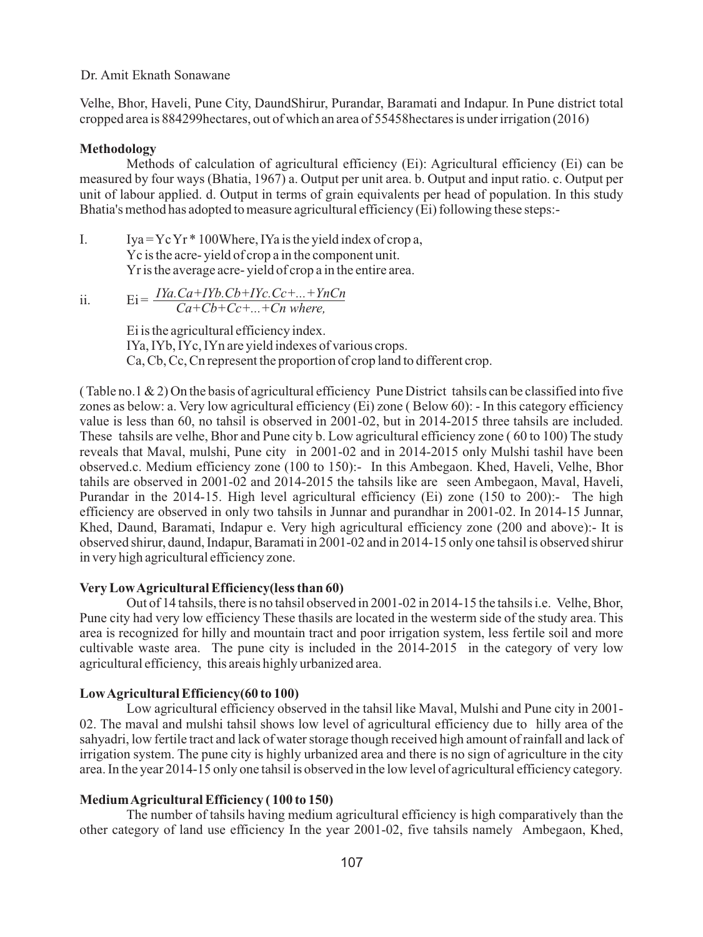Velhe, Bhor, Haveli, Pune City, DaundShirur, Purandar, Baramati and Indapur. In Pune district total cropped area is 884299hectares, out of which an area of 55458hectares is under irrigation (2016)

### **Methodology**

Methods of calculation of agricultural efficiency (Ei): Agricultural efficiency (Ei) can be measured by four ways (Bhatia, 1967) a. Output per unit area. b. Output and input ratio. c. Output per unit of labour applied. d. Output in terms of grain equivalents per head of population. In this study Bhatia's method has adopted to measure agricultural efficiency (Ei) following these steps:-

- I. Iya =  $YcYr*100$ Where, IYa is the yield index of crop a, Yc is the acre- yield of crop a in the component unit. Yr is the average acre- yield of crop a in the entire area.
- ii.  $Ei = \frac{IYa.Ca+IYb.Cb+IYc.Cc+...+YnCn}{Ca+Cb+Ca+...+Ca}$ *Ca+Cb+Cc+...+Cn where,*

Ei is the agricultural efficiency index. IYa, IYb, IYc, IYn are yield indexes of various crops. Ca, Cb, Cc, Cn represent the proportion of crop land to different crop.

(Table no.1  $\&$  2) On the basis of agricultural efficiency Pune District tahsils can be classified into five zones as below: a. Very low agricultural efficiency (Ei) zone ( Below 60): - In this category efficiency value is less than 60, no tahsil is observed in 2001-02, but in 2014-2015 three tahsils are included. These tahsils are velhe, Bhor and Pune city b. Low agricultural efficiency zone ( 60 to 100) The study reveals that Maval, mulshi, Pune city in 2001-02 and in 2014-2015 only Mulshi tashil have been observed.c. Medium efficiency zone (100 to 150):- In this Ambegaon. Khed, Haveli, Velhe, Bhor tahils are observed in 2001-02 and 2014-2015 the tahsils like are seen Ambegaon, Maval, Haveli, Purandar in the 2014-15. High level agricultural efficiency (Ei) zone (150 to 200):- The high efficiency are observed in only two tahsils in Junnar and purandhar in 2001-02. In 2014-15 Junnar, Khed, Daund, Baramati, Indapur e. Very high agricultural efficiency zone (200 and above):- It is observed shirur, daund, Indapur, Baramati in 2001-02 and in 2014-15 only one tahsil is observed shirur in very high agricultural efficiency zone.

# **Very Low Agricultural Efficiency(less than 60)**

Out of 14 tahsils, there is no tahsil observed in 2001-02 in 2014-15 the tahsils i.e. Velhe, Bhor, Pune city had very low efficiency These thasils are located in the westerm side of the study area. This area is recognized for hilly and mountain tract and poor irrigation system, less fertile soil and more cultivable waste area. The pune city is included in the 2014-2015 in the category of very low agricultural efficiency, this areais highly urbanized area.

# **Low Agricultural Efficiency(60 to 100)**

Low agricultural efficiency observed in the tahsil like Maval, Mulshi and Pune city in 2001- 02. The maval and mulshi tahsil shows low level of agricultural efficiency due to hilly area of the sahyadri, low fertile tract and lack of water storage though received high amount of rainfall and lack of irrigation system. The pune city is highly urbanized area and there is no sign of agriculture in the city area. In the year 2014-15 only one tahsil is observed in the low level of agricultural efficiency category.

# **Medium Agricultural Efficiency ( 100 to 150)**

The number of tahsils having medium agricultural efficiency is high comparatively than the other category of land use efficiency In the year 2001-02, five tahsils namely Ambegaon, Khed,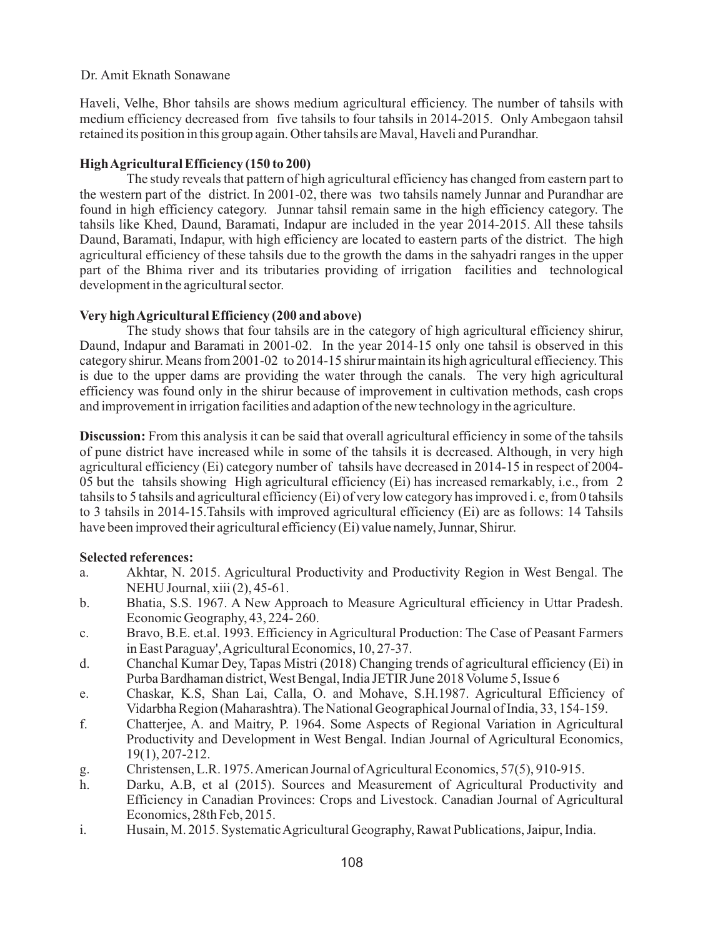Haveli, Velhe, Bhor tahsils are shows medium agricultural efficiency. The number of tahsils with medium efficiency decreased from five tahsils to four tahsils in 2014-2015. Only Ambegaon tahsil retained its position in this group again. Other tahsils are Maval, Haveli and Purandhar.

# **High Agricultural Efficiency (150 to 200)**

The study reveals that pattern of high agricultural efficiency has changed from eastern part to the western part of the district. In 2001-02, there was two tahsils namely Junnar and Purandhar are found in high efficiency category. Junnar tahsil remain same in the high efficiency category. The tahsils like Khed, Daund, Baramati, Indapur are included in the year 2014-2015. All these tahsils Daund, Baramati, Indapur, with high efficiency are located to eastern parts of the district. The high agricultural efficiency of these tahsils due to the growth the dams in the sahyadri ranges in the upper part of the Bhima river and its tributaries providing of irrigation facilities and technological development in the agricultural sector.

# **Very high Agricultural Efficiency (200 and above)**

The study shows that four tahsils are in the category of high agricultural efficiency shirur, Daund, Indapur and Baramati in 2001-02. In the year 2014-15 only one tahsil is observed in this category shirur. Means from 2001-02 to 2014-15 shirur maintain its high agricultural effieciency. This is due to the upper dams are providing the water through the canals. The very high agricultural efficiency was found only in the shirur because of improvement in cultivation methods, cash crops and improvement in irrigation facilities and adaption of the new technology in the agriculture.

**Discussion:** From this analysis it can be said that overall agricultural efficiency in some of the tahsils of pune district have increased while in some of the tahsils it is decreased. Although, in very high agricultural efficiency (Ei) category number of tahsils have decreased in 2014-15 in respect of 2004- 05 but the tahsils showing High agricultural efficiency (Ei) has increased remarkably, i.e., from 2 tahsils to 5 tahsils and agricultural efficiency (Ei) of very low category has improved i. e, from 0 tahsils to 3 tahsils in 2014-15.Tahsils with improved agricultural efficiency (Ei) are as follows: 14 Tahsils have been improved their agricultural efficiency (Ei) value namely, Junnar, Shirur.

# **Selected references:**

- a. Akhtar, N. 2015. Agricultural Productivity and Productivity Region in West Bengal. The NEHU Journal, xiii (2), 45-61.
- b. Bhatia, S.S. 1967. A New Approach to Measure Agricultural efficiency in Uttar Pradesh. Economic Geography, 43, 224- 260.
- c. Bravo, B.E. et.al. 1993. Efficiency in Agricultural Production: The Case of Peasant Farmers in East Paraguay', Agricultural Economics, 10, 27-37.
- d. Chanchal Kumar Dey, Tapas Mistri (2018) Changing trends of agricultural efficiency (Ei) in Purba Bardhaman district, West Bengal, India JETIR June 2018 Volume 5, Issue 6
- e. Chaskar, K.S, Shan Lai, Calla, O. and Mohave, S.H.1987. Agricultural Efficiency of Vidarbha Region (Maharashtra). The National Geographical Journal of India, 33, 154-159.
- f. Chatterjee, A. and Maitry, P. 1964. Some Aspects of Regional Variation in Agricultural Productivity and Development in West Bengal. Indian Journal of Agricultural Economics, 19(1), 207-212.
- g. Christensen, L.R. 1975. American Journal of Agricultural Economics, 57(5), 910-915.
- h. Darku, A.B, et al (2015). Sources and Measurement of Agricultural Productivity and Efficiency in Canadian Provinces: Crops and Livestock. Canadian Journal of Agricultural Economics, 28th Feb, 2015.
- i. Husain, M. 2015. Systematic Agricultural Geography, Rawat Publications, Jaipur, India.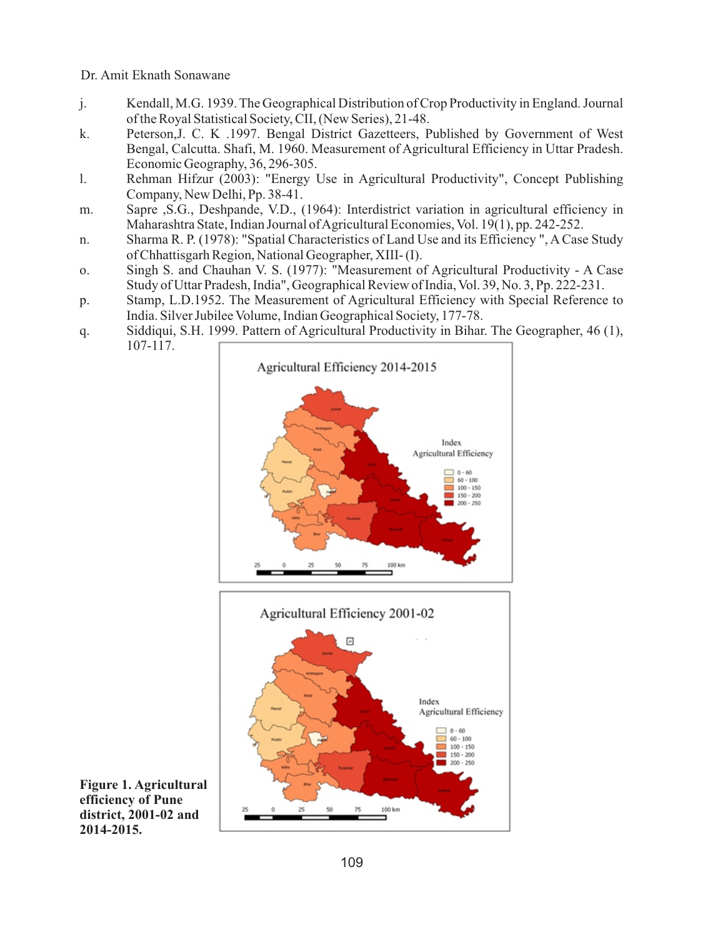- j. Kendall, M.G. 1939. The Geographical Distribution of Crop Productivity in England. Journal of the Royal Statistical Society, CII, (New Series), 21-48.
- k. Peterson,J. C. K .1997. Bengal District Gazetteers, Published by Government of West Bengal, Calcutta. Shafi, M. 1960. Measurement of Agricultural Efficiency in Uttar Pradesh. Economic Geography, 36, 296-305.
- l. Rehman Hifzur (2003): "Energy Use in Agricultural Productivity", Concept Publishing Company, New Delhi, Pp. 38-41.
- m. Sapre ,S.G., Deshpande, V.D., (1964): Interdistrict variation in agricultural efficiency in Maharashtra State, Indian Journal of Agricultural Economies, Vol. 19(1), pp. 242-252.
- n. Sharma R. P. (1978): "Spatial Characteristics of Land Use and its Efficiency ", A Case Study of Chhattisgarh Region, National Geographer, XIII- (I).
- o. Singh S. and Chauhan V. S. (1977): "Measurement of Agricultural Productivity A Case Study of Uttar Pradesh, India", Geographical Review of India, Vol. 39, No. 3, Pp. 222-231.
- p. Stamp, L.D.1952. The Measurement of Agricultural Efficiency with Special Reference to India. Silver Jubilee Volume, Indian Geographical Society, 177-78.
- q. Siddiqui, S.H. 1999. Pattern of Agricultural Productivity in Bihar. The Geographer, 46 (1), 107-117.





**Figure 1. Agricultural efficiency of Pune district, 2001-02 and 2014-2015.**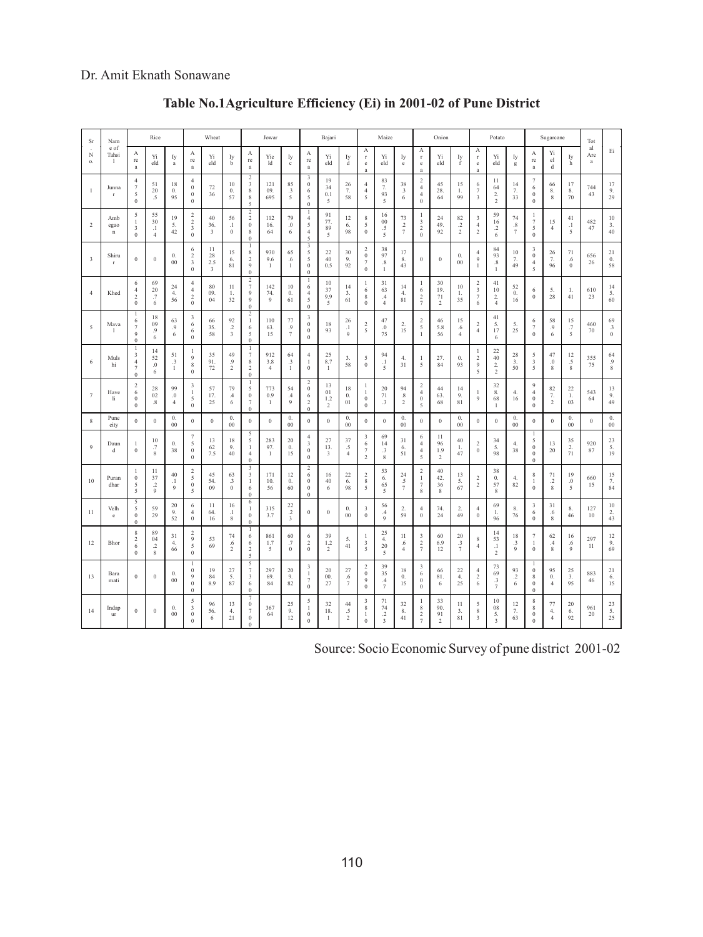| Sr                      | Nam                           |                                                                       | Rice                                                   |                                 | Wheat                                                             |                      | Jowar                                  |                                                                    | Bajari                       |                                    | Maize                                                                  |                                   | Onion                             |                                                             |                                                | Potato                                      |                                                             | Sugarcane                                   |                                     |                                             | Tot                                            |                                 |                                                        |                                           |                                |                  |                                               |
|-------------------------|-------------------------------|-----------------------------------------------------------------------|--------------------------------------------------------|---------------------------------|-------------------------------------------------------------------|----------------------|----------------------------------------|--------------------------------------------------------------------|------------------------------|------------------------------------|------------------------------------------------------------------------|-----------------------------------|-----------------------------------|-------------------------------------------------------------|------------------------------------------------|---------------------------------------------|-------------------------------------------------------------|---------------------------------------------|-------------------------------------|---------------------------------------------|------------------------------------------------|---------------------------------|--------------------------------------------------------|-------------------------------------------|--------------------------------|------------------|-----------------------------------------------|
| N<br>o.                 | e of<br>Tahsi<br>$\mathbf{1}$ | $\mathbf{A}$<br>re<br>a                                               | Yi<br>eld                                              | Iу<br>$\rm{a}$                  | А<br>$\rm re$<br>a                                                | Yi<br>eld            | Iy<br>b                                | А<br>$\rm re$<br>a                                                 | Yie<br>ld                    | Iу<br>$\rm c$                      | А<br>re<br>a                                                           | Yi<br>eld                         | Iy<br>d                           | A<br>$\Gamma$<br>$\rm e$                                    | Yi<br>eld                                      | Iу<br>$_{\rm e}$                            | A<br>$\Gamma$<br>$\rm e$<br>ă                               | Yi<br>eld                                   | Iy<br>f                             | А<br>$\Gamma$<br>$_{\rm e}$<br>$\mathbf{a}$ | Yi<br>eld                                      | Iу<br>$\mathbf g$               | $\mathbf{A}$<br>re<br>$\rm{a}$                         | Yi<br>el<br>${\rm d}$                     | Iy<br>h                        | al<br>Are<br>a   | Ei                                            |
| $\mathbf{1}$            | Junna<br>$\Gamma$             | $\overline{4}$<br>7<br>5<br>$\boldsymbol{0}$                          | 51<br>20<br>$\cdot$ 5                                  | 18<br>0.<br>95                  | $\overline{4}$<br>$\,0\,$<br>$\boldsymbol{0}$<br>$\boldsymbol{0}$ | $72\,$<br>36         | 10<br>$\mathbf{0}$ .<br>57             | $\overline{2}$<br>3<br>$\,$ 8 $\,$<br>8<br>×,                      | 121<br>09.<br>695            | 85<br>$\cdot$ 3<br>5               | 3<br>$\,0\,$<br>6<br>5<br>$\Omega$                                     | 19<br>34<br>0.1<br>5              | 26<br>7.<br>58                    | 4<br>$\,4\,$<br>5                                           | 83<br>7.<br>93<br>5                            | 38<br>$_{\cdot3}$<br>6                      | $\,2$<br>$\overline{4}$<br>$\overline{4}$<br>$\overline{0}$ | 45<br>28.<br>64                             | 15<br>1.<br>99                      | 6<br>7<br>3                                 | 11<br>64<br>$\overline{2}$ .<br>$\,2\,$        | 14<br>7.<br>33                  | 7<br>6<br>$\,0\,$<br>$\boldsymbol{0}$                  | 66<br>8.<br>8                             | 17<br>8.<br>70                 | 744<br>43        | 17<br>9.<br>29                                |
| $\overline{2}$          | Amb<br>egao<br>$\mathbf n$    | 5<br>1<br>3<br>$\boldsymbol{0}$                                       | 55<br>30<br>.1<br>$\overline{4}$                       | 19<br>5.<br>42                  | $\,2$<br>$\,2$<br>3<br>$\,0\,$                                    | 40<br>36.<br>3       | 56<br>$\cdot$<br>$\bf{0}$              | $\overline{2}$<br>$\sqrt{2}$<br>$\boldsymbol{0}$<br>8<br>$\Omega$  | 112<br>16.<br>64             | 79<br>$\Omega$ .<br>6              | 1<br>$\overline{4}$<br>5<br>$\overline{4}$<br>$\overline{\phantom{a}}$ | 91<br>77.<br>89<br>5              | 12<br>6.<br>98                    | 8<br>5<br>$\boldsymbol{0}$                                  | 16<br>${}^{00}$<br>.5<br>5                     | 73<br>$\cdot$<br>$\overline{\tau}$          | 1<br>3<br>$\overline{2}$<br>$\,0\,$                         | 24<br>49.<br>92                             | 82<br>$\cdot$<br>$\overline{2}$     | 3<br>$\overline{4}$<br>$\overline{c}$       | 59<br>16<br>$\cdot$ <sub>2</sub><br>6          | 74<br>.8<br>7                   | $\mathbf{1}$<br>7<br>5<br>$\,0\,$                      | 15<br>$\overline{4}$                      | 41<br>$\cdot$<br>5             | 482<br>47        | 10<br>3.<br>40                                |
| $\overline{\mathbf{3}}$ | Shiru<br>r                    | $\boldsymbol{0}$                                                      | $\,0\,$                                                | 0.<br>$0 \\ 0$                  | 6<br>$\overline{\mathbf{c}}$<br>3<br>$\mathbf{0}$                 | 11<br>28<br>2.5<br>3 | 15<br>6.<br>81                         | 1<br>8<br>$\sqrt{2}$<br>9<br>$\mathbf{0}$                          | 930<br>9.6<br>$\mathbf{1}$   | 65<br>.6<br>$\mathbf{I}$           | 3<br>5<br>5<br>$\mathbf{0}$<br>$\theta$                                | 22<br>40<br>0.5                   | 30<br>9.<br>92                    | $\overline{c}$<br>$\boldsymbol{0}$<br>$\tau$<br>$\bf{0}$    | 38<br>97<br>$\sqrt{8}$<br>$\mathbf{1}$         | 17<br>8.<br>43                              | $\boldsymbol{0}$                                            | $\boldsymbol{0}$                            | $\mathbf{0}$ .<br>$00\,$            | $\overline{4}$<br>9<br>1                    | 84<br>93<br>$_{\rm .8}$<br>$\mathbf{1}$        | 10<br>7.<br>49                  | 3<br>$\boldsymbol{0}$<br>$\sqrt{4}$<br>5               | 26<br>7.<br>96                            | 71<br>.6<br>$\theta$           | 656<br>26        | 21<br>$\mathbf{0}$ .<br>58                    |
| $\overline{4}$          | Khed                          | 6<br>$\overline{4}$<br>$\,2$<br>$\boldsymbol{0}$                      | 69<br>20<br>$.7\,$<br>6                                | 24<br>4.<br>56                  | $\overline{4}$<br>$\overline{4}$<br>$\,2$<br>$\,0\,$              | 80<br>09.<br>04      | 11<br>1.<br>32                         | $\,2$<br>$\tau$<br>9<br>9<br>$\mathbf{0}$                          | 142<br>74.<br>9              | $10\,$<br>0.<br>61                 | 1<br>6<br>$\overline{4}$<br>5<br>$\,0\,$                               | 10<br>37<br>9.9<br>5              | 14<br>3.<br>61                    | $\,$ I<br>6<br>8<br>$\boldsymbol{0}$                        | 31<br>63<br>$\mathcal{A}$<br>$\overline{4}$    | 14<br>4.<br>81                              | $\mathbf{1}$<br>6<br>$\sqrt{2}$<br>$\boldsymbol{7}$         | 30<br>19.<br>71<br>$\,2\,$                  | 10<br>1.<br>35                      | $\,2$<br>3<br>$\tau$<br>$\,$ 6 $\,$         | 41<br>10<br>$\overline{2}$ .<br>$\overline{4}$ | 52<br>$\mathbf{0}$ .<br>16      | 6<br>$\bf{0}$                                          | 5.<br>28                                  | 1.<br>41                       | 610<br>23        | 14<br>5.<br>60                                |
| 5                       | Mava<br>1                     | 1<br>6<br>$\overline{7}$<br>9<br>$\bf{0}$                             | 18<br>09<br>.9<br>6                                    | 63<br>.9<br>6                   | 3<br>6<br>6<br>$\mathbf{0}$                                       | 66<br>35.<br>58      | 92<br>$.2\,$<br>3                      | $\overline{2}$<br>1<br>6<br>5<br>$\theta$                          | 110<br>63.<br>15             | 77<br>$\cdot$ 9<br>$\tau$          | 3<br>$\bf{0}$<br>$\,0\,$<br>$\mathbf{0}$                               | 18<br>93                          | 26<br>$\cdot$<br>$\boldsymbol{9}$ | $\overline{\mathbf{c}}$<br>5                                | 47<br>$\boldsymbol{0}$<br>75                   | 2.<br>15                                    | 2<br>5<br>$\,1$                                             | 46<br>5.8<br>56                             | 15<br>.6<br>$\overline{4}$          | $\overline{c}$<br>$\overline{4}$            | 41<br>5.<br>17<br>6                            | 5.<br>25                        | 6<br>7<br>$\boldsymbol{0}$                             | 58<br>$\cdot$ 9<br>6                      | 15<br>$.7\,$<br>5              | 460<br>70        | 69<br>$_{\cdot 3}$<br>$\boldsymbol{0}$        |
| 6                       | Muls<br>hi                    | $\mathbf{I}$<br>3<br>$\overline{4}$<br>$\overline{7}$<br>$\mathbf{0}$ | 14<br>52<br>$\boldsymbol{0}$<br>6                      | 51<br>$\cdot$ 3<br>$\mathbf{1}$ | 1<br>9<br>$\,$ 8 $\,$<br>$\,0\,$                                  | 35<br>91.<br>72      | 49<br>.9<br>$\overline{c}$             | $\mathbf{1}$<br>$7\phantom{.0}$<br>8<br>$\overline{2}$<br>$\theta$ | 912<br>3.8<br>$\overline{4}$ | 64<br>$\cdot$ 3<br>$\mathbf{1}$    | $\overline{4}$<br>$\mathbf{1}$<br>$\,0\,$                              | 25<br>8.7<br>$\mathbf{1}$         | 3.<br>58                          | 5<br>$\bf{0}$                                               | 94<br>$\cdot$<br>5                             | 4.<br>31                                    | $\mathbf{1}$<br>5                                           | 27.<br>84                                   | $\mathbf{0}$ .<br>93                | $\mathbf{1}$<br>$\overline{2}$<br>9<br>5    | 22<br>40<br>2.<br>$\overline{\mathbf{2}}$      | 28<br>3.<br>50                  | 5<br>3<br>5                                            | 47<br>$\cdot$<br>8                        | 12<br>$\cdot$ 5<br>$\,$ 8 $\,$ | 355<br>75        | 64<br>.9<br>8                                 |
| $\overline{7}$          | Have<br>li                    | $\overline{c}$<br>6<br>$\boldsymbol{0}$<br>$\boldsymbol{0}$           | 28<br>02<br>$.8\,$                                     | 99<br>$\boldsymbol{0}$<br>4     | 3<br>1<br>5<br>$\boldsymbol{0}$                                   | 57<br>17.<br>25      | 79<br>$\mathcal{A}_{\mathcal{A}}$<br>6 | 1<br>5<br>$\,0\,$<br>$\overline{7}$<br>$\mathbf{0}$                | 773<br>0.9<br>1              | 54<br>$\cal A$<br>$\boldsymbol{9}$ | $\overline{2}$<br>$\,0\,$<br>6<br>$\overline{2}$<br>$\mathbf{0}$       | 13<br>01<br>1.2<br>$\overline{2}$ | 18<br>$\boldsymbol{0}$ .<br>01    | 1<br>$\mathbf{1}$<br>$\,0\,$<br>$\boldsymbol{0}$            | 20<br>$71\,$<br>$\cdot$ 3                      | 94<br>$_{\rm 8}$<br>$\,2$                   | $\,2$<br>$\overline{4}$<br>$\boldsymbol{0}$<br>5            | 44<br>63.<br>68                             | 14<br>9.<br>81                      | 1<br>$\boldsymbol{9}$                       | 32<br>8.<br>68<br>-1                           | 4.<br>16                        | 9<br>$\overline{4}$<br>$\,0\,$<br>$\boldsymbol{0}$     | 82<br>7.<br>$\,2$                         | 22<br>1.<br>03                 | 543<br>64        | 13<br>9.<br>49                                |
| 8                       | Pune<br>city                  | $\mathbf{0}$                                                          | $\,0\,$                                                | 0.<br>$00\,$                    | $\boldsymbol{0}$                                                  | $\boldsymbol{0}$     | $\theta$ .<br>$_{00}$                  | $\bf{0}$                                                           | $\boldsymbol{0}$             | $\mathbf{0}$ .<br>${}^{00}$        | $\boldsymbol{0}$                                                       | $\,0\,$                           | 0.<br>00                          | $\boldsymbol{0}$                                            | $\,0\,$                                        | $\mathbf{0}$ .<br>00                        | $\bf{0}$                                                    | $\boldsymbol{0}$                            | $\mathbf{0}$ .<br>00                | $\boldsymbol{0}$                            | $\boldsymbol{0}$                               | $\theta$ .<br>$_{00}$           | $\boldsymbol{0}$                                       | $\,0\,$                                   | $\mathbf{0}$ .<br>00           | $\boldsymbol{0}$ | $\mathbf{0}$ .<br>$_{00}$                     |
| 9                       | Daun<br>d                     | 1<br>$\bf{0}$                                                         | 10<br>.7<br>8                                          | 0.<br>38                        | $\overline{7}$<br>5<br>$\mathbf{0}$<br>$\mathbf{0}$               | 13<br>62<br>7.5      | 18<br>9.<br>40                         | 5<br>5<br>$\,1$<br>$\overline{4}$<br>$\theta$                      | 283<br>97.<br>1              | 20<br>0.<br>15                     | $\overline{4}$<br>3<br>$\mathbf{0}$<br>$\bf{0}$                        | 27<br>13.<br>3                    | 37<br>.5<br>$\overline{4}$        | 3<br>$\,$ 6 $\,$<br>$\overline{7}$<br>$\overline{c}$        | 69<br>14<br>$\cdot$ <sub>3</sub><br>8          | 31<br>6.<br>51                              | 6<br>$\overline{4}$<br>$\overline{4}$<br>5                  | 11<br>96<br>1.9<br>$\overline{c}$           | 40<br>1.<br>47                      | $\mathbf 2$<br>$\mathbf{0}$                 | 34<br>5.<br>98                                 | $\overline{4}$<br>38            | -1<br>5<br>$\,0\,$<br>$\bf{0}$<br>$\mathbf{0}$         | 13<br>20                                  | 35<br>2.<br>71                 | 920<br>87        | $23\,$<br>5.<br>19                            |
| 10                      | Puran<br>dhar                 | $\mathbf{1}$<br>$\boldsymbol{0}$<br>5<br>5                            | $11\,$<br>37<br>$\cdot$ <sub>2</sub><br>$\overline{9}$ | 40<br>$\cdot$<br>9              | $\sqrt{2}$<br>5<br>$\,0\,$<br>5                                   | 45<br>54.<br>09      | 63<br>$\cdot$ 3<br>$\boldsymbol{0}$    | 3<br>3<br>-1<br>6<br>$\Omega$                                      | 171<br>10.<br>56             | 12<br>0.<br>60                     | $\overline{2}$<br>6<br>$\mathbf{0}$<br>$\bf{0}$<br>$\mathbf{0}$        | 16<br>40<br>6                     | 22<br>6.<br>98                    | $\overline{c}$<br>$\,$ 8 $\,$<br>5                          | 53<br>6.<br>65<br>5                            | 24<br>$\boldsymbol{.5}$<br>$\boldsymbol{7}$ | $\,2\,$<br>$\mathbf{1}$<br>$\tau$<br>8                      | 40<br>42.<br>36<br>$\,$ 8 $\,$              | 13<br>5.<br>67                      | 2<br>$\mathbf 2$                            | 38<br>$\mathbf{0}$ .<br>57<br>$\,$ 8 $\,$      | $\overline{4}$<br>82            | 8<br>-1<br>$\,0\,$                                     | 71<br>$\cdot$ <sub>2</sub><br>$\,$ 8 $\,$ | 19<br>$.0\,$<br>5              | 660<br>15        | $15\,$<br>7.<br>84                            |
| 11                      | Velh<br>e                     | 5<br>5<br>$\boldsymbol{0}$<br>$\mathbf{0}$                            | 59<br>29                                               | 20<br>9.<br>52                  | 6<br>$\overline{4}$<br>$\,0\,$                                    | 11<br>64.<br>16      | 16<br>$\cdot$<br>8                     | 6<br>1<br>$\boldsymbol{0}$<br>$\theta$                             | 315<br>3.7                   | 22<br>$.2\,$<br>3                  | $\boldsymbol{0}$                                                       | $\,0\,$                           | 0.<br>00                          | 3<br>$\boldsymbol{0}$                                       | 56<br>$\mathcal{A}$<br>9                       | 2.<br>59                                    | $\overline{4}$<br>$\boldsymbol{0}$                          | 74.<br>24                                   | 2.<br>49                            | $\overline{4}$<br>$\,0\,$                   | 69<br>1.<br>96                                 | 8.<br>76                        | 3<br>6<br>$\boldsymbol{0}$                             | 31<br>.6<br>$\,$ 8 $\,$                   | 8.<br>46                       | 127<br>10        | 10<br>2.<br>43                                |
| 12                      | Bhor                          | 8<br>$\overline{c}$<br>6<br>$\boldsymbol{0}$                          | 89<br>04<br>$\cdot$ <sub>2</sub><br>$\,$ 8 $\,$        | 31<br>4.<br>66                  | $\sqrt{2}$<br>9<br>5<br>$\,0\,$                                   | 53<br>69             | 74<br>.6<br>$\overline{2}$             | 1<br>6<br>6<br>$\sqrt{2}$<br>5                                     | 861<br>1.7<br>5              | 60<br>$\cdot 7$<br>$\mathbf{0}$    | 6<br>$\sqrt{2}$<br>$\mathbf{0}$                                        | 39<br>1.2<br>$\overline{2}$       | 5.<br>41                          | $\mathbf{1}$<br>3<br>5                                      | 25<br>4.<br>20<br>5                            | 11<br>.6<br>$\overline{4}$                  | 3<br>$\frac{2}{7}$                                          | 60<br>6.9<br>12                             | 20<br>$_{\cdot3}$<br>$\overline{7}$ | 8<br>$\overline{4}$                         | 14<br>53<br>$\cdot$<br>$\,2$                   | 18<br>$\cdot$ 3<br>9            | $\tau$<br>-1<br>$\mathbf{0}$                           | 62<br>$\cdot$ 4<br>8                      | 16<br>.6<br>9                  | 297<br>11        | 12<br>9.<br>69                                |
| 13                      | Bara<br>mati                  | $\boldsymbol{0}$                                                      | $\,0\,$                                                | 0.<br>$0 \\ 0$                  | 1<br>$\,0\,$<br>9<br>$\,0\,$<br>$\mathbf{0}$                      | 19<br>84<br>8.9      | 27<br>5.<br>87                         | 5<br>7<br>3<br>6<br>$\Omega$                                       | 297<br>69.<br>84             | 20<br>9.<br>82                     | 3<br>-1<br>$7\phantom{.0}$<br>$\,0\,$                                  | 20<br>00.<br>27                   | 27<br>.6<br>$\tau$                | $\overline{c}$<br>$\boldsymbol{0}$<br>9<br>$\boldsymbol{0}$ | 39<br>35<br>$\mathcal{A}$<br>$\overline{\tau}$ | 18<br>0.<br>15                              | 3<br>6<br>$\,0\,$<br>$\bf{0}$                               | 66<br>81.<br>$\sqrt{6}$                     | 22<br>4.<br>25                      | $\overline{4}$<br>2<br>6                    | 73<br>69<br>$\cdot$ 3<br>$\tau$                | 93<br>$\cdot$ <sub>2</sub><br>6 | -1<br>$\boldsymbol{0}$<br>8<br>$\,0\,$<br>$\mathbf{0}$ | 95<br>0.<br>$\overline{4}$                | 25<br>3.<br>95                 | 883<br>46        | 21<br>6.<br>15                                |
| 14                      | Indap<br>ur                   | $\boldsymbol{0}$                                                      | $\,0\,$                                                | $\mathbf{0}$ .<br>$00\,$        | 5<br>3<br>$\boldsymbol{0}$                                        | 96<br>56.<br>6       | 13<br>4.<br>21                         | $\boldsymbol{0}$<br>$7\phantom{.0}$<br>$\theta$<br>$\Omega$        | 367<br>64                    | 25<br>9.<br>12                     | 5<br>$\mathbf{I}$<br>$\bf{0}$                                          | 32<br>18.<br>1                    | 44<br>.5<br>$\overline{c}$        | 3<br>$\,$ 8 $\,$<br>$\mathbf{1}$<br>$\theta$                | 71<br>$74\,$<br>$\overline{a}$<br>3            | 32<br>8.<br>41                              | 1<br>8<br>$\,2$<br>$\overline{7}$                           | 33<br>90.<br>91<br>$\overline{\phantom{a}}$ | 11<br>3.<br>81                      | 5<br>8<br>3                                 | 10<br>$08\,$<br>5.<br>3                        | 12<br>7.<br>63                  | 8<br>8<br>$\boldsymbol{0}$<br>$\Omega$                 | 77<br>4.<br>$\overline{4}$                | 20<br>6.<br>92                 | 961<br>20        | $\begin{array}{c} 23 \\ 5. \end{array}$<br>25 |

# **Table No.1Agriculture Efficiency (Ei) in 2001-02 of Pune District**

Source: Socio Economic Survey of pune district 2001-02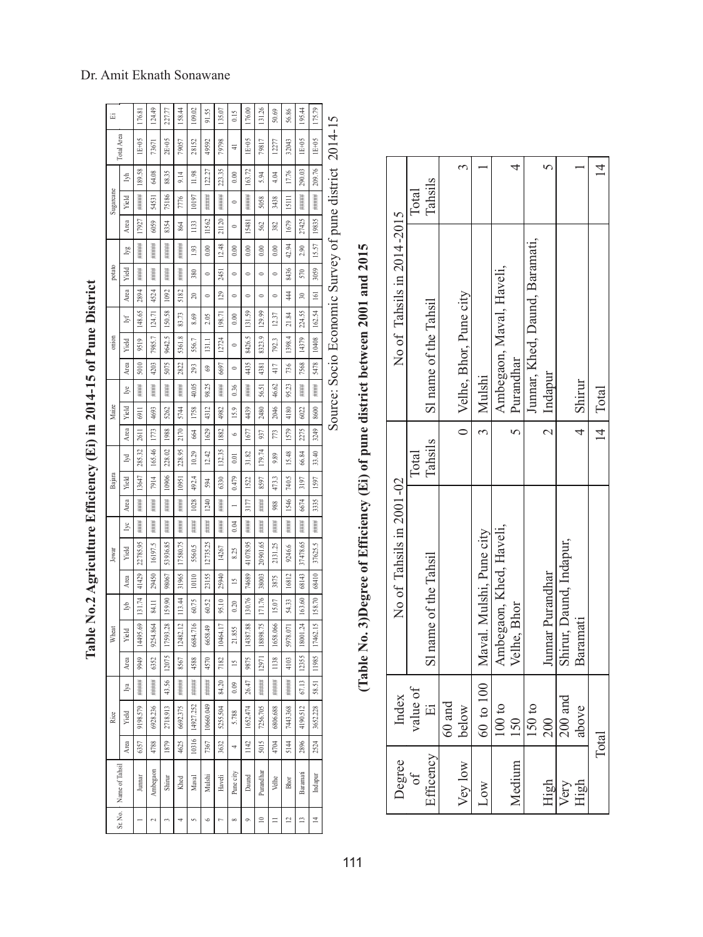| 运         |                | 176.81        | 124.49          | 227.77                | 158.44        | 109.02    | 91.55           | 135.07      | 0.15                  | 176.00      | 131.26     | 50.69       | 56.86         | 195.44      | 175.79         | l      |
|-----------|----------------|---------------|-----------------|-----------------------|---------------|-----------|-----------------|-------------|-----------------------|-------------|------------|-------------|---------------|-------------|----------------|--------|
|           | Total Area     | 1E+05         | 73671           | 2E+05                 | 79057         | 28152     | 49592           | 79798       | ₹                     | 1E+05       | 79817      | 12277       | 32043         | 1E+05       | 1E+05          | ,<br>، |
|           | Ź,             | 189.58        | 64.08           | 88.35                 | 9.14          | 11.98     | 122.27          | 35<br>223.  | 0.00                  | 163.72      | 5.94       | 4.04        | 17.76         | 290.03      | 209.76         |        |
| Sugarcane | Yield          | #####         | 54531           | 75186                 | 7776          | 10197     | #####           | #####       | 0                     | #####       | 5058       | 3438        | 1511          | #####       | #####          |        |
|           | Area           | 7927          | 6059            | 8354                  | 864           | 1133      | 1562            | 21120       | $\circ$               | 5481        | 562        | 382         | 1679          | 27425       | 19835          |        |
|           | lyg            | ####          | ####            | ####                  | ####          | S,        | 0.00            | 12.48       | 0.00                  | 0.00        | 0.00       | 0.00        | 42.94         | 2.90        | 15.57          | ¢      |
| potato    | Yield          | ###           | ####            | ####                  | 拼拼            | 380       | $\circ$         | 2451        | $\circ$               | $\circ$     | 0          | 0           | 8436          | 570         | 3059           |        |
|           | Area           | 2894          | 4524            | 1092                  | 5182          | 20        | $\circ$         | වු          | $\circ$               | $\circ$     | 0          | 0           | $\frac{4}{4}$ | $\approx$   | $\overline{5}$ | Ç      |
|           | Þ              | 148.65        | 124.71          | 150.58                | 83.73         | 8.69      | 2.05            | 198.71      | 0.00                  | S)<br>$\Xi$ | 129.99     | 12.37       | 21.84         | 224.55      | 162.54         |        |
| onion     | Yield          | 9519          | 7985.7          | 9642.5                | œ<br>5361     | 556.7     | $\overline{31}$ | 12724       | $\circ$               | 8426.5      | 8323.9     | 792.3       | 4<br>1398.    | 14379       | 10408          | ļ      |
|           | Area           | 5010          | 4203            | 5075                  | 2822          | 293       | \$              | 6697        | $\circ$               | 4435        | 4381       | 417         | 736           | 7568        | 5478           |        |
|           | lуe            | ####          | ####            | ####                  | ####          | 40.05     | 98.25           | ####        | 0.36                  | ####        | 56.51      | 46.62       | 95.23         | ####        | ####           | l      |
| Maize     | Yield          | 6911          | 4693            | 5262                  | 5744          | 1758      | 4312            | 4982        | 15.9                  | 4439        | 2480       | 2046        | 4180          | 6022        | 8600           |        |
|           | Area           | 2611          | 1773            | 1988                  | 2170          | 664       | 1629            | 1882        | $\circ$               | 1677        | 937        | 773         | 1579          | 2275        | 3249           | ₹      |
|           | z              | 285.32        | 165.46          | 228.02                | 228.95        | 10.29     | 12.42           | 132.35      | 0.01                  | 31.82       | 179.74     | 9.89        | 15.48         | 66.84       | 33.40          |        |
| Bajara    | Yield          | 13647         | 7914            | 10906                 | 10951         | 492.4     | 594             | 6330        | 0.479                 | 1522        | 8597       | 473.3       | 740.5         | 3197        | 1597           |        |
|           | Area           | $\frac{1}{1}$ | ####            | $\frac{1}{2}$         | $\frac{1}{1}$ | 1028      | 1240            | ####        |                       | 3177        | ####       | 988         | 546           | 6674        | 3335           |        |
|           | lуc            | ####          | ####            | ####                  | ####          | ####      | ####            | ####        | 0.04                  | ####        | ####       | ####        | ####          | ####        | ####           |        |
| Jowar     | Yield          | 22785.95      | 16197.5         | 53936.85              | 17580.75      | 5560.5    | 12735.25        | 14267       | 8.25                  | 41078.95    | S<br>20901 | S.<br>2131. | 9246.6        | 37478.65    | 37625.5        |        |
|           | Area           | 41429         | 29450           | 98067                 | 31965         | 10110     | 23155           | 25940       | $\geq$                | 74689       | 38003      | 3875        | 16812         | 68143       | 68410          |        |
|           | Ŝ,             | 131.74        | 84.11           | 159.90                | 113.44        | 60.75     | 60.52           | 95.10       | 0.20                  | 130.76      | 171.76     | 15.07       | 54.33         | 163.60      | 158.70         |        |
| Wheat     | Yield          | 14495.69      | 9254.864        | 28<br>17593.          | 12482.12      | 6684.716  | 6658.49         | E<br>10464. | 855<br>$\overline{c}$ | 14387.88    | 18898.75   | 1658.066    | 5978.07       | শ্ৰ<br>8001 | 17462.15       |        |
|           | Area           | 9949          | 6352            | 12075                 | 8567          | 4588      | 4570            | 7182        | $\overline{15}$       | 9875        | 12971      | 1138        | 4103          | 12355       | 11985          |        |
|           | ž              | ₿<br>###      | ₿<br>###        | 43.56                 | ₿<br>###      | ₿<br>###  | 韭<br>H#H        | 84.20       | 0.09                  | 47<br>26.   | ₿<br>###   | ₿<br>###    | 韭<br>###      | ć<br>67.    | Ÿ<br>58.       |        |
| Rice      | Yield          | 9198.579      | 6928.236        | 2718.913              | 6692.375      | 14927.252 | 10660.049       | 5255.504    | 5.788                 | 1652.474    | 7256.705   | 6806.688    | 7443,368      | 4190.512    | 3652.228       |        |
|           | Area           | 6357          | 4788            | 1879                  | 4625          | 10316     | 7367            | 3632        | 4                     | 1142        | 5015       | 4704        | 5144          | 2896        | 2524           |        |
|           | Name of Tahsil |               | Ambegaon        | Shirur                | Khed          | Maval     | Mulshi          | Haveli      | Pune city             | Daund       | Purandhar  | Velhe       | Bhor          | Baramati    | Indapur        |        |
|           | Sr. No.        |               | $\mathbf{\sim}$ | $\tilde{\phantom{a}}$ | 4             | S         | o               |             | $\infty$              | ò           | $\approx$  | $\equiv$    | 12            | 13          | $\overline{1}$ |        |

| 11 M M M<br>i<br>ſ<br>l                          |
|--------------------------------------------------|
| i<br>I<br>I<br>I<br>I<br>$\frac{1}{2}$<br>t<br>. |
| 一、「一、「」 (二)                                      |
| e<br>F                                           |
| ١                                                |
|                                                  |
| i.                                               |

Source: Socio Economic Survey of pune district 2014-15 Source: Socio Economic Survey of pune district 2014-15

|                            | Total                    | Tahsils               |          |                            |                                      |                          |             |                                |                  |                         |          | $\overline{4}$ |
|----------------------------|--------------------------|-----------------------|----------|----------------------------|--------------------------------------|--------------------------|-------------|--------------------------------|------------------|-------------------------|----------|----------------|
| No of Tahsils in 2014-2015 |                          | S1 name of the Tahsil |          | 0   Velhe, Bhor, Pune city | Mulshi                               | Ambegaon, Maval, Haveli, | Purandhar   | Junnar, Khed, Daund, Baramati, | Indapur          |                         | Shirur   | Total          |
|                            | Total                    | Tahsils               |          |                            |                                      |                          |             |                                |                  |                         |          | $\overline{4}$ |
| No of Tahsils in 2001-02   |                          | S1 name of the Tahsil |          |                            | 60 to 100   Maval. Mulshi, Pune city | Ambegaon, Khed, Haveli,  | Velhe, Bhor |                                | Junnar Purandhar | Shirur, Daund, Indapur, | Baramati |                |
| Index                      | value of                 | $\Xi$                 | $60$ and | below                      |                                      | $100\;{\rm to}$          | 150         | 150 to                         | 200              | $200$ and               | above    | Total          |
| Degree                     | $\overline{\mathrm{of}}$ | Efficency             |          | Vey low                    | Low                                  |                          | Medium      |                                | High             | Very                    | High     |                |

# (Table No. 3)Degree of Efficiency (Ei) of pune district between 2001 and 2015  **(Table No. 3)Degree of Efficiency (Ei) of pune district between 2001 and 2015**

1 1 1

# Dr. Amit Eknath Sonawane